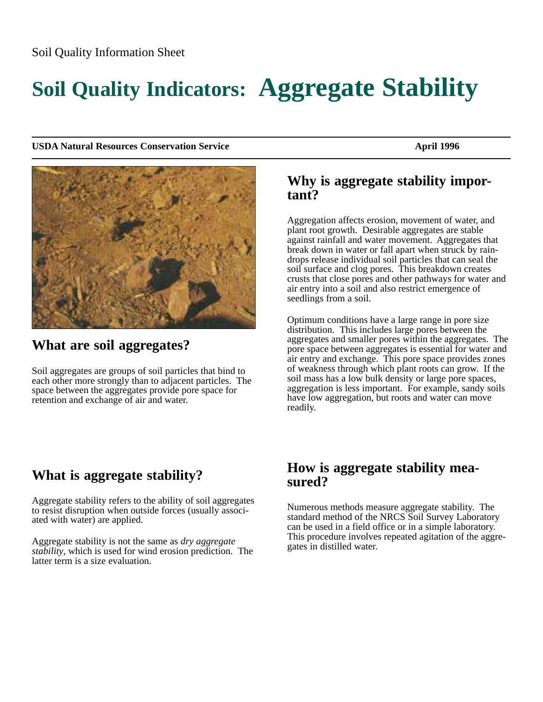# **Soil Quality Indicators: Aggregate Stability**

**USDA Natural Resources Conservation Service April 1996** April 1996



## **What are soil aggregates?**

Soil aggregates are groups of soil particles that bind to each other more strongly than to adjacent particles. The space between the aggregates provide pore space for retention and exchange of air and water.

#### **Why is aggregate stability important?**

Aggregation affects erosion, movement of water, and plant root growth. Desirable aggregates are stable against rainfall and water movement. Aggregates that break down in water or fall apart when struck by raindrops release individual soil particles that can seal the soil surface and clog pores. This breakdown creates crusts that close pores and other pathways for water and air entry into a soil and also restrict emergence of seedlings from a soil.

Optimum conditions have a large range in pore size distribution. This includes large pores between the aggregates and smaller pores within the aggregates. The pore space between aggregates is essential for water and air entry and exchange. This pore space provides zones of weakness through which plant roots can grow. If the soil mass has a low bulk density or large pore spaces, aggregation is less important. For example, sandy soils have low aggregation, but roots and water can move readily.

# **What is aggregate stability?**

Aggregate stability refers to the ability of soil aggregates to resist disruption when outside forces (usually associated with water) are applied.

Aggregate stability is not the same as *dry aggregate stability*, which is used for wind erosion prediction. The latter term is a size evaluation.

### **How is aggregate stability measured?**

Numerous methods measure aggregate stability. The standard method of the NRCS Soil Survey Laboratory can be used in a field office or in a simple laboratory. This procedure involves repeated agitation of the aggregates in distilled water.